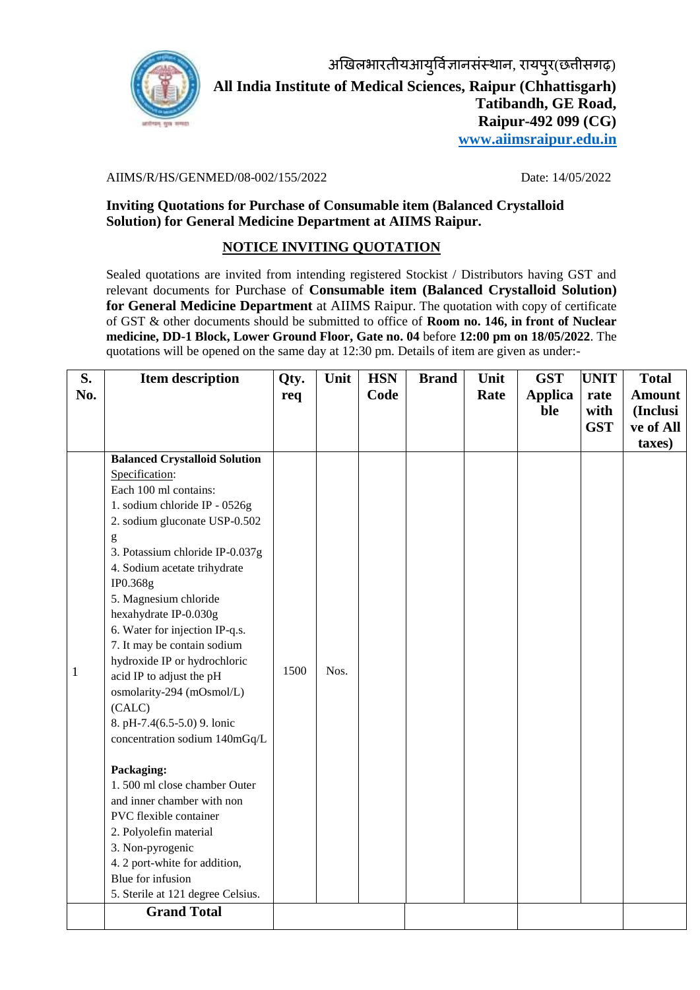

## AIIMS/R/HS/GENMED/08-002/155/2022 Date: 14/05/2022

**Inviting Quotations for Purchase of Consumable item (Balanced Crystalloid Solution) for General Medicine Department at AIIMS Raipur.**

## **NOTICE INVITING QUOTATION**

Sealed quotations are invited from intending registered Stockist / Distributors having GST and relevant documents for Purchase of **Consumable item (Balanced Crystalloid Solution) for General Medicine Department** at AIIMS Raipur. The quotation with copy of certificate of GST & other documents should be submitted to office of **Room no. 146, in front of Nuclear medicine, DD-1 Block, Lower Ground Floor, Gate no. 04** before **12:00 pm on 18/05/2022**. The quotations will be opened on the same day at 12:30 pm. Details of item are given as under:-

| S.<br>No. | <b>Item description</b>                                                                                                                                                                                                                                                                                                                                                                                                                                                                                                                                                                                                                                                                                                                                                                                                                                                                                                                                                                                                                                                                                                                                                                                                       | Qty.<br>req | Unit | <b>HSN</b><br>Code | <b>Brand</b> | Unit<br>Rate | <b>GST</b><br><b>Applica</b><br>ble | <b>UNIT</b><br>rate<br>with | <b>Total</b><br><b>Amount</b><br>(Inclusi |
|-----------|-------------------------------------------------------------------------------------------------------------------------------------------------------------------------------------------------------------------------------------------------------------------------------------------------------------------------------------------------------------------------------------------------------------------------------------------------------------------------------------------------------------------------------------------------------------------------------------------------------------------------------------------------------------------------------------------------------------------------------------------------------------------------------------------------------------------------------------------------------------------------------------------------------------------------------------------------------------------------------------------------------------------------------------------------------------------------------------------------------------------------------------------------------------------------------------------------------------------------------|-------------|------|--------------------|--------------|--------------|-------------------------------------|-----------------------------|-------------------------------------------|
|           |                                                                                                                                                                                                                                                                                                                                                                                                                                                                                                                                                                                                                                                                                                                                                                                                                                                                                                                                                                                                                                                                                                                                                                                                                               |             |      |                    |              |              |                                     | <b>GST</b>                  | ve of All<br>taxes)                       |
| 1         | <b>Balanced Crystalloid Solution</b><br>Specification:<br>Each 100 ml contains:<br>1. sodium chloride IP - 0526g<br>2. sodium gluconate USP-0.502<br>$\mathbf{g}% _{T}=\mathbf{g}_{T}=\mathbf{g}_{T}=\mathbf{g}_{T}=\mathbf{g}_{T}=\mathbf{g}_{T}=\mathbf{g}_{T}=\mathbf{g}_{T}=\mathbf{g}_{T}=\mathbf{g}_{T}=\mathbf{g}_{T}=\mathbf{g}_{T}=\mathbf{g}_{T}=\mathbf{g}_{T}=\mathbf{g}_{T}=\mathbf{g}_{T}=\mathbf{g}_{T}=\mathbf{g}_{T}=\mathbf{g}_{T}=\mathbf{g}_{T}=\mathbf{g}_{T}=\mathbf{g}_{T}=\mathbf{g}_{T}=\mathbf{g}_{T}=\mathbf{g}_{T}=\mathbf{g}_{T}=\mathbf{g}_{T}=\math$<br>3. Potassium chloride IP-0.037g<br>4. Sodium acetate trihydrate<br>IP0.368g<br>5. Magnesium chloride<br>hexahydrate IP-0.030g<br>6. Water for injection IP-q.s.<br>7. It may be contain sodium<br>hydroxide IP or hydrochloric<br>acid IP to adjust the pH<br>osmolarity-294 (mOsmol/L)<br>(CALC)<br>8. pH-7.4(6.5-5.0) 9. lonic<br>concentration sodium 140mGq/L<br>Packaging:<br>1.500 ml close chamber Outer<br>and inner chamber with non<br>PVC flexible container<br>2. Polyolefin material<br>3. Non-pyrogenic<br>4. 2 port-white for addition,<br>Blue for infusion<br>5. Sterile at 121 degree Celsius.<br><b>Grand Total</b> | 1500        | Nos. |                    |              |              |                                     |                             |                                           |
|           |                                                                                                                                                                                                                                                                                                                                                                                                                                                                                                                                                                                                                                                                                                                                                                                                                                                                                                                                                                                                                                                                                                                                                                                                                               |             |      |                    |              |              |                                     |                             |                                           |